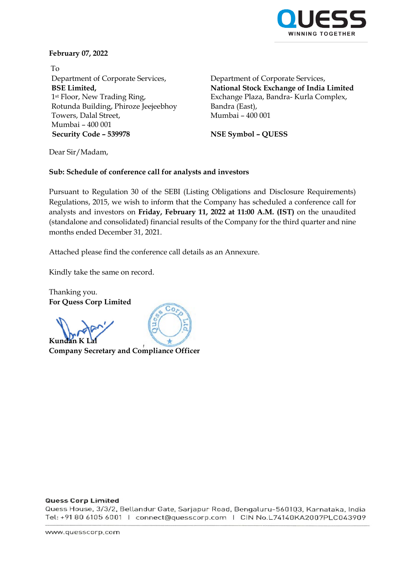

## **February 07, 2022**

To Department of Corporate Services, **BSE Limited,** 1st Floor, New Trading Ring, Rotunda Building, Phiroze Jeejeebhoy Towers, Dalal Street, Mumbai – 400 001 **Security Code – 539978 NSE Symbol – QUESS**

Department of Corporate Services, **National Stock Exchange of India Limited** Exchange Plaza, Bandra- Kurla Complex, Bandra (East), Mumbai – 400 001

Dear Sir/Madam,

## **Sub: Schedule of conference call for analysts and investors**

Pursuant to Regulation 30 of the SEBI (Listing Obligations and Disclosure Requirements) Regulations, 2015, we wish to inform that the Company has scheduled a conference call for analysts and investors on **Friday, February 11, 2022 at 11:00 A.M. (IST)** on the unaudited (standalone and consolidated) financial results of the Company for the third quarter and nine months ended December 31, 2021.

Attached please find the conference call details as an Annexure.

 $Co$ 

Kindly take the same on record.

Thanking you. **For Quess Corp Limited**

**Kunda** 

**Company Secretary and Compliance Officer**

## **Quess Corp Limited**

Quess House, 3/3/2, Bellandur Gate, Sarjapur Road, Bengaluru-560103, Karnataka, India Tel: +91 80 6105 6001 | connect@quesscorp.com | CIN No.L74140KA2007PLC043909